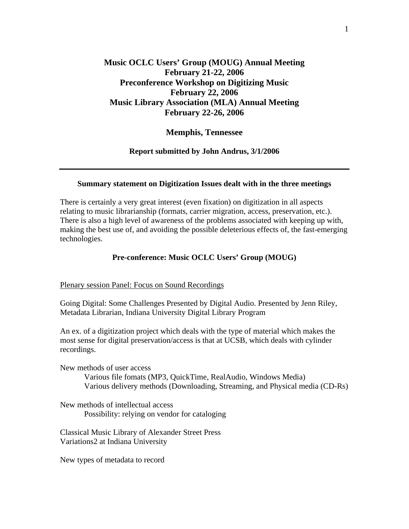# **Music OCLC Users' Group (MOUG) Annual Meeting February 21-22, 2006 Preconference Workshop on Digitizing Music February 22, 2006 Music Library Association (MLA) Annual Meeting February 22-26, 2006**

### **Memphis, Tennessee**

#### **Report submitted by John Andrus, 3/1/2006**

#### **Summary statement on Digitization Issues dealt with in the three meetings**

There is certainly a very great interest (even fixation) on digitization in all aspects relating to music librarianship (formats, carrier migration, access, preservation, etc.). There is also a high level of awareness of the problems associated with keeping up with, making the best use of, and avoiding the possible deleterious effects of, the fast-emerging technologies.

#### **Pre-conference: Music OCLC Users' Group (MOUG)**

#### Plenary session Panel: Focus on Sound Recordings

Going Digital: Some Challenges Presented by Digital Audio. Presented by Jenn Riley, Metadata Librarian, Indiana University Digital Library Program

An ex. of a digitization project which deals with the type of material which makes the most sense for digital preservation/access is that at UCSB, which deals with cylinder recordings.

New methods of user access

 Various file fomats (MP3, QuickTime, RealAudio, Windows Media) Various delivery methods (Downloading, Streaming, and Physical media (CD-Rs)

New methods of intellectual access Possibility: relying on vendor for cataloging

Classical Music Library of Alexander Street Press Variations2 at Indiana University

New types of metadata to record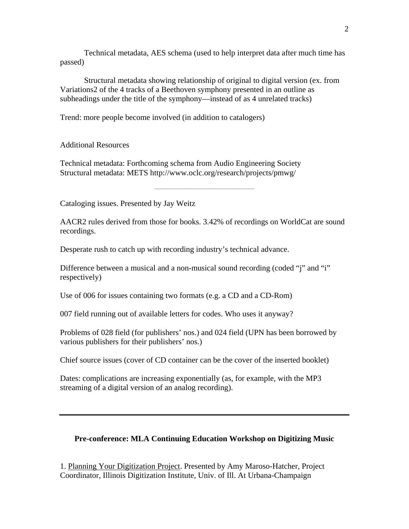Technical metadata, AES schema (used to help interpret data after much time has passed)

 Structural metadata showing relationship of original to digital version (ex. from Variations2 of the 4 tracks of a Beethoven symphony presented in an outline as subheadings under the title of the symphony—instead of as 4 unrelated tracks)

Trend: more people become involved (in addition to catalogers)

Additional Resources

Technical metadata: Forthcoming schema from Audio Engineering Society Structural metadata: METS http://www.oclc.org/research/projects/pmwg/

**\_\_\_\_\_\_\_\_\_\_\_\_\_\_\_\_\_\_\_\_\_\_\_\_\_\_\_\_\_\_\_\_\_\_\_\_\_\_\_\_\_\_\_\_\_\_\_\_\_\_\_\_\_\_\_\_\_\_\_\_\_\_\_\_\_\_\_\_\_\_\_\_\_\_\_**

Cataloging issues. Presented by Jay Weitz

AACR2 rules derived from those for books. 3.42% of recordings on WorldCat are sound recordings.

Desperate rush to catch up with recording industry's technical advance.

Difference between a musical and a non-musical sound recording (coded "j" and "i" respectively)

Use of 006 for issues containing two formats (e.g. a CD and a CD-Rom)

007 field running out of available letters for codes. Who uses it anyway?

Problems of 028 field (for publishers' nos.) and 024 field (UPN has been borrowed by various publishers for their publishers' nos.)

Chief source issues (cover of CD container can be the cover of the inserted booklet)

Dates: complications are increasing exponentially (as, for example, with the MP3 streaming of a digital version of an analog recording).

### **Pre-conference: MLA Continuing Education Workshop on Digitizing Music**

1. Planning Your Digitization Project. Presented by Amy Maroso-Hatcher, Project Coordinator, Illinois Digitization Institute, Univ. of Ill. At Urbana-Champaign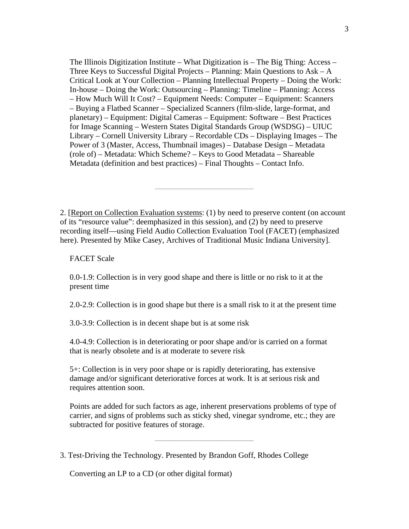The Illinois Digitization Institute – What Digitization is – The Big Thing: Access – Three Keys to Successful Digital Projects – Planning: Main Questions to Ask – A Critical Look at Your Collection – Planning Intellectual Property – Doing the Work: In-house – Doing the Work: Outsourcing – Planning: Timeline – Planning: Access – How Much Will It Cost? – Equipment Needs: Computer – Equipment: Scanners – Buying a Flatbed Scanner – Specialized Scanners (film-slide, large-format, and planetary) – Equipment: Digital Cameras – Equipment: Software – Best Practices for Image Scanning – Western States Digital Standards Group (WSDSG) – UIUC Library – Cornell University Library – Recordable CDs – Displaying Images – The Power of 3 (Master, Access, Thumbnail images) – Database Design – Metadata (role of) – Metadata: Which Scheme? – Keys to Good Metadata – Shareable Metadata (definition and best practices) – Final Thoughts – Contact Info.

2. [Report on Collection Evaluation systems: (1) by need to preserve content (on account of its "resource value": deemphasized in this session), and (2) by need to preserve recording itself—using Field Audio Collection Evaluation Tool (FACET) (emphasized here). Presented by Mike Casey, Archives of Traditional Music Indiana University].

**\_\_\_\_\_\_\_\_\_\_\_\_\_\_\_\_\_\_\_\_\_\_\_\_\_\_\_\_\_\_\_\_\_\_\_\_\_\_\_\_\_\_\_\_\_\_\_\_\_\_\_\_\_\_\_\_\_\_\_\_\_\_\_\_\_\_\_\_\_\_\_\_\_\_**

FACET Scale

0.0-1.9: Collection is in very good shape and there is little or no risk to it at the present time

2.0-2.9: Collection is in good shape but there is a small risk to it at the present time

3.0-3.9: Collection is in decent shape but is at some risk

4.0-4.9: Collection is in deteriorating or poor shape and/or is carried on a format that is nearly obsolete and is at moderate to severe risk

5+: Collection is in very poor shape or is rapidly deteriorating, has extensive damage and/or significant deteriorative forces at work. It is at serious risk and requires attention soon.

Points are added for such factors as age, inherent preservations problems of type of carrier, and signs of problems such as sticky shed, vinegar syndrome, etc.; they are subtracted for positive features of storage.

**\_\_\_\_\_\_\_\_\_\_\_\_\_\_\_\_\_\_\_\_\_\_\_\_\_\_\_\_\_\_\_\_\_\_\_\_\_\_\_\_\_\_\_\_\_\_\_\_\_\_\_\_\_\_\_\_\_\_\_\_\_\_\_\_\_\_\_\_\_\_\_\_\_\_**

3. Test-Driving the Technology. Presented by Brandon Goff, Rhodes College

Converting an LP to a CD (or other digital format)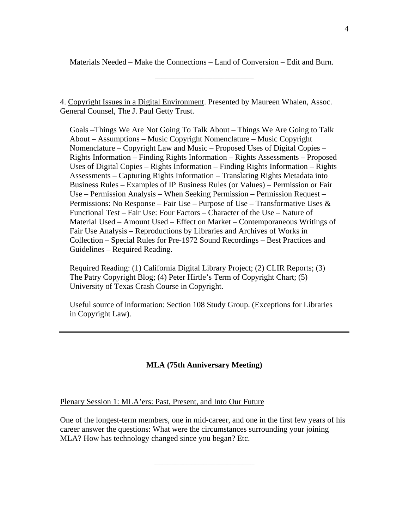Materials Needed – Make the Connections – Land of Conversion – Edit and Burn.

**\_\_\_\_\_\_\_\_\_\_\_\_\_\_\_\_\_\_\_\_\_\_\_\_\_\_\_\_\_\_\_\_\_\_\_\_\_\_\_\_\_\_\_\_\_\_\_\_\_\_\_\_\_\_\_\_\_\_\_\_\_\_\_\_\_\_\_\_\_\_\_\_\_\_**

4. Copyright Issues in a Digital Environment. Presented by Maureen Whalen, Assoc. General Counsel, The J. Paul Getty Trust.

Goals –Things We Are Not Going To Talk About – Things We Are Going to Talk About – Assumptions – Music Copyright Nomenclature – Music Copyright Nomenclature – Copyright Law and Music – Proposed Uses of Digital Copies – Rights Information – Finding Rights Information – Rights Assessments – Proposed Uses of Digital Copies – Rights Information – Finding Rights Information – Rights Assessments – Capturing Rights Information – Translating Rights Metadata into Business Rules – Examples of IP Business Rules (or Values) – Permission or Fair Use – Permission Analysis – When Seeking Permission – Permission Request – Permissions: No Response – Fair Use – Purpose of Use – Transformative Uses  $\&$ Functional Test – Fair Use: Four Factors – Character of the Use – Nature of Material Used – Amount Used – Effect on Market – Contemporaneous Writings of Fair Use Analysis – Reproductions by Libraries and Archives of Works in Collection – Special Rules for Pre-1972 Sound Recordings – Best Practices and Guidelines – Required Reading.

Required Reading: (1) California Digital Library Project; (2) CLIR Reports; (3) The Patry Copyright Blog; (4) Peter Hirtle's Term of Copyright Chart; (5) University of Texas Crash Course in Copyright.

Useful source of information: Section 108 Study Group. (Exceptions for Libraries in Copyright Law).

## **MLA (75th Anniversary Meeting)**

#### Plenary Session 1: MLA'ers: Past, Present, and Into Our Future

One of the longest-term members, one in mid-career, and one in the first few years of his career answer the questions: What were the circumstances surrounding your joining MLA? How has technology changed since you began? Etc.

**\_\_\_\_\_\_\_\_\_\_\_\_\_\_\_\_\_\_\_\_\_\_\_\_\_\_\_\_\_\_\_\_\_\_\_\_\_\_\_\_\_\_\_\_\_\_\_\_\_\_\_\_\_\_\_\_\_\_\_\_\_\_\_\_\_\_\_\_\_\_\_\_\_\_\_**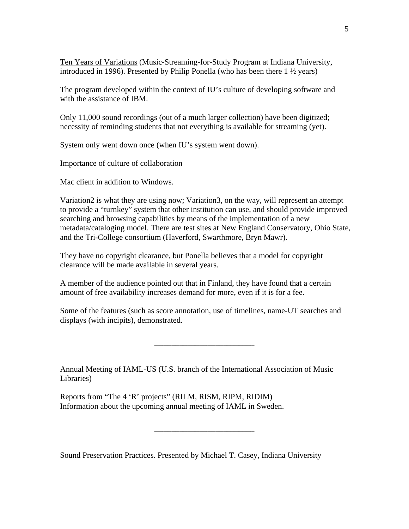Ten Years of Variations (Music-Streaming-for-Study Program at Indiana University, introduced in 1996). Presented by Philip Ponella (who has been there 1 ½ years)

The program developed within the context of IU's culture of developing software and with the assistance of IBM.

Only 11,000 sound recordings (out of a much larger collection) have been digitized; necessity of reminding students that not everything is available for streaming (yet).

System only went down once (when IU's system went down).

Importance of culture of collaboration

Mac client in addition to Windows.

Variation2 is what they are using now; Variation3, on the way, will represent an attempt to provide a "turnkey" system that other institution can use, and should provide improved searching and browsing capabilities by means of the implementation of a new metadata/cataloging model. There are test sites at New England Conservatory, Ohio State, and the Tri-College consortium (Haverford, Swarthmore, Bryn Mawr).

They have no copyright clearance, but Ponella believes that a model for copyright clearance will be made available in several years.

A member of the audience pointed out that in Finland, they have found that a certain amount of free availability increases demand for more, even if it is for a fee.

Some of the features (such as score annotation, use of timelines, name-UT searches and displays (with incipits), demonstrated.

**\_\_\_\_\_\_\_\_\_\_\_\_\_\_\_\_\_\_\_\_\_\_\_\_\_\_\_\_\_\_\_\_\_\_\_\_\_\_\_\_\_\_\_\_\_\_\_\_\_\_\_\_\_\_\_\_\_\_\_\_\_\_\_\_\_\_\_\_\_\_\_\_\_\_\_**

**\_\_\_\_\_\_\_\_\_\_\_\_\_\_\_\_\_\_\_\_\_\_\_\_\_\_\_\_\_\_\_\_\_\_\_\_\_\_\_\_\_\_\_\_\_\_\_\_\_\_\_\_\_\_\_\_\_\_\_\_\_\_\_\_\_\_\_\_\_\_\_\_\_\_\_**

Annual Meeting of IAML-US (U.S. branch of the International Association of Music Libraries)

Reports from "The 4 'R' projects" (RILM, RISM, RIPM, RIDIM) Information about the upcoming annual meeting of IAML in Sweden.

Sound Preservation Practices. Presented by Michael T. Casey, Indiana University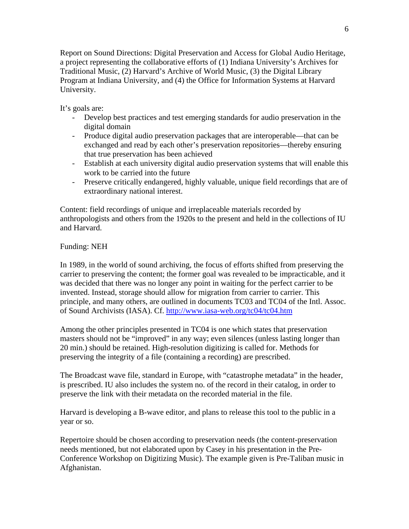Report on Sound Directions: Digital Preservation and Access for Global Audio Heritage, a project representing the collaborative efforts of (1) Indiana University's Archives for Traditional Music, (2) Harvard's Archive of World Music, (3) the Digital Library Program at Indiana University, and (4) the Office for Information Systems at Harvard University.

It's goals are:

- Develop best practices and test emerging standards for audio preservation in the digital domain
- Produce digital audio preservation packages that are interoperable—that can be exchanged and read by each other's preservation repositories—thereby ensuring that true preservation has been achieved
- Establish at each university digital audio preservation systems that will enable this work to be carried into the future
- Preserve critically endangered, highly valuable, unique field recordings that are of extraordinary national interest.

Content: field recordings of unique and irreplaceable materials recorded by anthropologists and others from the 1920s to the present and held in the collections of IU and Harvard.

Funding: NEH

In 1989, in the world of sound archiving, the focus of efforts shifted from preserving the carrier to preserving the content; the former goal was revealed to be impracticable, and it was decided that there was no longer any point in waiting for the perfect carrier to be invented. Instead, storage should allow for migration from carrier to carrier. This principle, and many others, are outlined in documents TC03 and TC04 of the Intl. Assoc. of Sound Archivists (IASA). Cf. http://www.iasa-web.org/tc04/tc04.htm

Among the other principles presented in TC04 is one which states that preservation masters should not be "improved" in any way; even silences (unless lasting longer than 20 min.) should be retained. High-resolution digitizing is called for. Methods for preserving the integrity of a file (containing a recording) are prescribed.

The Broadcast wave file, standard in Europe, with "catastrophe metadata" in the header, is prescribed. IU also includes the system no. of the record in their catalog, in order to preserve the link with their metadata on the recorded material in the file.

Harvard is developing a B-wave editor, and plans to release this tool to the public in a year or so.

Repertoire should be chosen according to preservation needs (the content-preservation needs mentioned, but not elaborated upon by Casey in his presentation in the Pre-Conference Workshop on Digitizing Music). The example given is Pre-Taliban music in Afghanistan.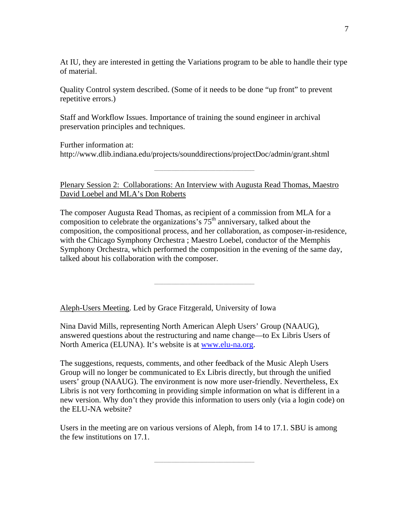At IU, they are interested in getting the Variations program to be able to handle their type of material.

Quality Control system described. (Some of it needs to be done "up front" to prevent repetitive errors.)

Staff and Workflow Issues. Importance of training the sound engineer in archival preservation principles and techniques.

Further information at: http://www.dlib.indiana.edu/projects/sounddirections/projectDoc/admin/grant.shtml

**\_\_\_\_\_\_\_\_\_\_\_\_\_\_\_\_\_\_\_\_\_\_\_\_\_\_\_\_\_\_\_\_\_\_\_\_\_\_\_\_\_\_\_\_\_\_\_\_\_\_\_\_\_\_\_\_\_\_\_\_\_\_\_\_\_\_\_\_\_\_\_\_\_\_\_**

Plenary Session 2: Collaborations: An Interview with Augusta Read Thomas, Maestro David Loebel and MLA's Don Roberts

The composer Augusta Read Thomas, as recipient of a commission from MLA for a composition to celebrate the organizations's  $75<sup>th</sup>$  anniversary, talked about the composition, the compositional process, and her collaboration, as composer-in-residence, with the Chicago Symphony Orchestra ; Maestro Loebel, conductor of the Memphis Symphony Orchestra, which performed the composition in the evening of the same day, talked about his collaboration with the composer.

**\_\_\_\_\_\_\_\_\_\_\_\_\_\_\_\_\_\_\_\_\_\_\_\_\_\_\_\_\_\_\_\_\_\_\_\_\_\_\_\_\_\_\_\_\_\_\_\_\_\_\_\_\_\_\_\_\_\_\_\_\_\_\_\_\_\_\_\_\_\_\_\_\_\_\_**

Aleph-Users Meeting. Led by Grace Fitzgerald, University of Iowa

Nina David Mills, representing North American Aleph Users' Group (NAAUG), answered questions about the restructuring and name change—to Ex Libris Users of North America (ELUNA). It's website is at www.elu-na.org.

The suggestions, requests, comments, and other feedback of the Music Aleph Users Group will no longer be communicated to Ex Libris directly, but through the unified users' group (NAAUG). The environment is now more user-friendly. Nevertheless, Ex Libris is not very forthcoming in providing simple information on what is different in a new version. Why don't they provide this information to users only (via a login code) on the ELU-NA website?

Users in the meeting are on various versions of Aleph, from 14 to 17.1. SBU is among the few institutions on 17.1.

**\_\_\_\_\_\_\_\_\_\_\_\_\_\_\_\_\_\_\_\_\_\_\_\_\_\_\_\_\_\_\_\_\_\_\_\_\_\_\_\_\_\_\_\_\_\_\_\_\_\_\_\_\_\_\_\_\_\_\_\_\_\_\_\_\_\_\_\_\_\_\_\_\_\_\_**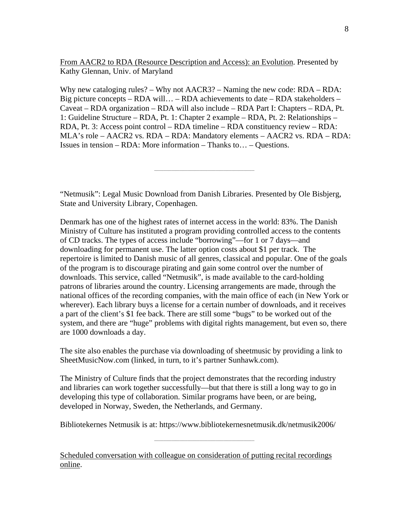From AACR2 to RDA (Resource Description and Access): an Evolution. Presented by Kathy Glennan, Univ. of Maryland

Why new cataloging rules? – Why not AACR3? – Naming the new code: RDA – RDA: Big picture concepts – RDA will… – RDA achievements to date – RDA stakeholders – Caveat – RDA organization – RDA will also include – RDA Part I: Chapters – RDA, Pt. 1: Guideline Structure – RDA, Pt. 1: Chapter 2 example – RDA, Pt. 2: Relationships – RDA, Pt. 3: Access point control – RDA timeline – RDA constituency review – RDA: MLA's role – AACR2 vs. RDA – RDA: Mandatory elements – AACR2 vs. RDA – RDA: Issues in tension – RDA: More information – Thanks to… – Questions.

**\_\_\_\_\_\_\_\_\_\_\_\_\_\_\_\_\_\_\_\_\_\_\_\_\_\_\_\_\_\_\_\_\_\_\_\_\_\_\_\_\_\_\_\_\_\_\_\_\_\_\_\_\_\_\_\_\_\_\_\_\_\_\_\_\_\_\_\_\_\_\_\_\_\_\_**

"Netmusik": Legal Music Download from Danish Libraries. Presented by Ole Bisbjerg, State and University Library, Copenhagen.

Denmark has one of the highest rates of internet access in the world: 83%. The Danish Ministry of Culture has instituted a program providing controlled access to the contents of CD tracks. The types of access include "borrowing"—for 1 or 7 days—and downloading for permanent use. The latter option costs about \$1 per track. The repertoire is limited to Danish music of all genres, classical and popular. One of the goals of the program is to discourage pirating and gain some control over the number of downloads. This service, called "Netmusik", is made available to the card-holding patrons of libraries around the country. Licensing arrangements are made, through the national offices of the recording companies, with the main office of each (in New York or wherever). Each library buys a license for a certain number of downloads, and it receives a part of the client's \$1 fee back. There are still some "bugs" to be worked out of the system, and there are "huge" problems with digital rights management, but even so, there are 1000 downloads a day.

The site also enables the purchase via downloading of sheetmusic by providing a link to SheetMusicNow.com (linked, in turn, to it's partner Sunhawk.com).

The Ministry of Culture finds that the project demonstrates that the recording industry and libraries can work together successfully—but that there is still a long way to go in developing this type of collaboration. Similar programs have been, or are being, developed in Norway, Sweden, the Netherlands, and Germany.

Bibliotekernes Netmusik is at: https://www.bibliotekernesnetmusik.dk/netmusik2006/

**\_\_\_\_\_\_\_\_\_\_\_\_\_\_\_\_\_\_\_\_\_\_\_\_\_\_\_\_\_\_\_\_\_\_\_\_\_\_\_\_\_\_\_\_\_\_\_\_\_\_\_\_\_\_\_\_\_\_\_\_\_\_\_\_\_\_\_\_\_\_\_\_\_\_\_**

Scheduled conversation with colleague on consideration of putting recital recordings online.